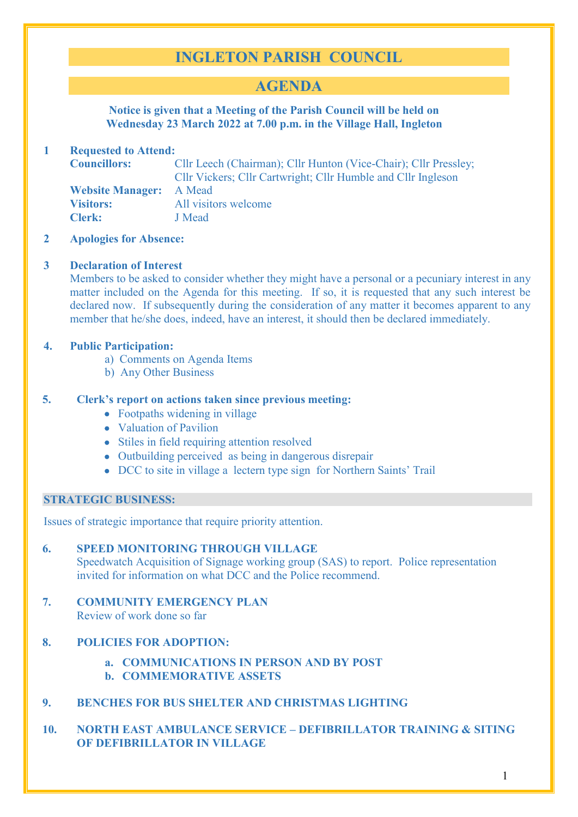# **INGLETON PARISH COUNCIL**

## **AGENDA**

**Notice is given that a Meeting of the Parish Council will be held on Wednesday 23 March 2022 at 7.00 p.m. in the Village Hall, Ingleton**

## **1 Requested to Attend:**

**Councillors:** Cllr Leech (Chairman); Cllr Hunton (Vice-Chair); Cllr Pressley; Cllr Vickers; Cllr Cartwright; Cllr Humble and Cllr Ingleson **Website Manager:** A Mead **Visitors:** All visitors welcome **Clerk:** J Mead

**2 Apologies for Absence:** 

#### **3 Declaration of Interest**

Members to be asked to consider whether they might have a personal or a pecuniary interest in any matter included on the Agenda for this meeting. If so, it is requested that any such interest be declared now. If subsequently during the consideration of any matter it becomes apparent to any member that he/she does, indeed, have an interest, it should then be declared immediately.

#### **4. Public Participation:**

- a) Comments on Agenda Items
- b) Any Other Business

### **5. Clerk's report on actions taken since previous meeting:**

- Footpaths widening in village
- Valuation of Pavilion
- Stiles in field requiring attention resolved
- Outbuilding perceived as being in dangerous disrepair
- DCC to site in village a lectern type sign for Northern Saints' Trail

#### **STRATEGIC BUSINESS:**

Issues of strategic importance that require priority attention.

## **6. SPEED MONITORING THROUGH VILLAGE**

Speedwatch Acquisition of Signage working group (SAS) to report. Police representation invited for information on what DCC and the Police recommend.

**7. COMMUNITY EMERGENCY PLAN** Review of work done so far

## **8. POLICIES FOR ADOPTION:**

- **a. COMMUNICATIONS IN PERSON AND BY POST**
- **b. COMMEMORATIVE ASSETS**
- **9. BENCHES FOR BUS SHELTER AND CHRISTMAS LIGHTING**

## **10. NORTH EAST AMBULANCE SERVICE – DEFIBRILLATOR TRAINING & SITING OF DEFIBRILLATOR IN VILLAGE**